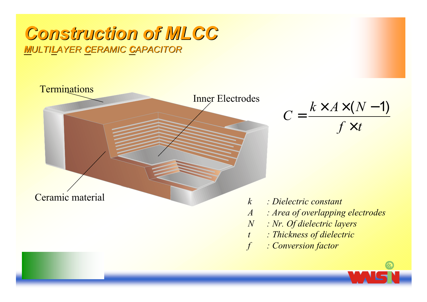## **Construction of MLCC MULTILAYER CERAMIC CAPACITOR**



 $C = \frac{k \times A \times (N-1)}{f \times t}$ 

- $\therefore$  Dielectric constant
- : Area of overlapping electrodes
- : Nr. Of dielectric layers
- : Thickness of dielectric
- : Conversion factor

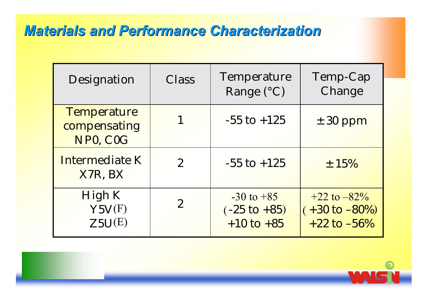## **Materials and Performance Characterization**

| Designation                                    | Class          | Temperature<br>Range $(^{\circ}C)$                          | Temp-Cap<br>Change                                                |
|------------------------------------------------|----------------|-------------------------------------------------------------|-------------------------------------------------------------------|
| <b>Temperature</b><br>compensating<br>NP0, C0G |                | $-55$ to $+125$                                             | $\pm$ 30 ppm                                                      |
| Intermediate K<br>X7R, BX                      | $\overline{2}$ | $-55$ to $+125$                                             | $\pm$ 15%                                                         |
| High K<br>Y5V(F)<br>Z5U(E)                     | $\overline{2}$ | $-30$ to $+85$<br>$(-25 \text{ to } +85)$<br>$+10$ to $+85$ | $+22$ to $-82\%$<br>$(+30 \text{ to } -80\%)$<br>$+22$ to $-56\%$ |

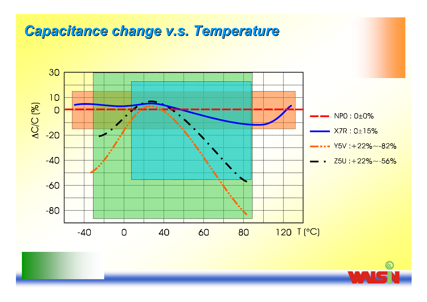## Capacitance change v.s. Temperature